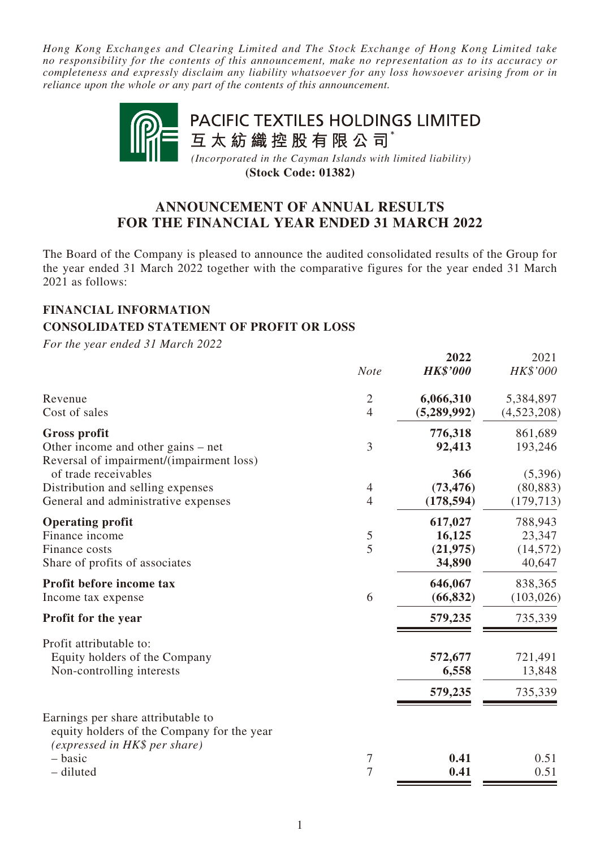*Hong Kong Exchanges and Clearing Limited and The Stock Exchange of Hong Kong Limited take no responsibility for the contents of this announcement, make no representation as to its accuracy or completeness and expressly disclaim any liability whatsoever for any loss howsoever arising from or in reliance upon the whole or any part of the contents of this announcement.*



**(Stock Code: 01382)**

# **ANNOUNCEMENT OF ANNUAL RESULTS FOR THE FINANCIAL YEAR ENDED 31 MARCH 2022**

The Board of the Company is pleased to announce the audited consolidated results of the Group for the year ended 31 March 2022 together with the comparative figures for the year ended 31 March 2021 as follows:

## **FINANCIAL INFORMATION CONSOLIDATED STATEMENT OF PROFIT OR LOSS**

*For the year ended 31 March 2022*

|                                                                                                                   | <b>Note</b>    | 2022<br><b>HK\$'000</b> | 2021<br>HK\$'000 |
|-------------------------------------------------------------------------------------------------------------------|----------------|-------------------------|------------------|
| Revenue                                                                                                           | $\overline{2}$ | 6,066,310               | 5,384,897        |
| Cost of sales                                                                                                     | $\overline{4}$ | (5,289,992)             | (4,523,208)      |
| <b>Gross profit</b>                                                                                               |                | 776,318                 | 861,689          |
| Other income and other gains – net<br>Reversal of impairment/(impairment loss)                                    | 3              | 92,413                  | 193,246          |
| of trade receivables                                                                                              |                | 366                     | (5,396)          |
| Distribution and selling expenses                                                                                 | 4              | (73, 476)               | (80, 883)        |
| General and administrative expenses                                                                               | $\overline{4}$ | (178, 594)              | (179, 713)       |
| <b>Operating profit</b>                                                                                           |                | 617,027                 | 788,943          |
| Finance income                                                                                                    | 5              | 16,125                  | 23,347           |
| Finance costs                                                                                                     | 5              | (21, 975)               | (14, 572)        |
| Share of profits of associates                                                                                    |                | 34,890                  | 40,647           |
| Profit before income tax                                                                                          |                | 646,067                 | 838,365          |
| Income tax expense                                                                                                | 6              | (66, 832)               | (103, 026)       |
| <b>Profit for the year</b>                                                                                        |                | 579,235                 | 735,339          |
| Profit attributable to:                                                                                           |                |                         |                  |
| Equity holders of the Company                                                                                     |                | 572,677                 | 721,491          |
| Non-controlling interests                                                                                         |                | 6,558                   | 13,848           |
|                                                                                                                   |                | 579,235                 | 735,339          |
| Earnings per share attributable to<br>equity holders of the Company for the year<br>(expressed in HK\$ per share) |                |                         |                  |
| - basic                                                                                                           | 7              | 0.41                    | 0.51             |
| - diluted                                                                                                         | 7              | 0.41                    | 0.51             |
|                                                                                                                   |                |                         |                  |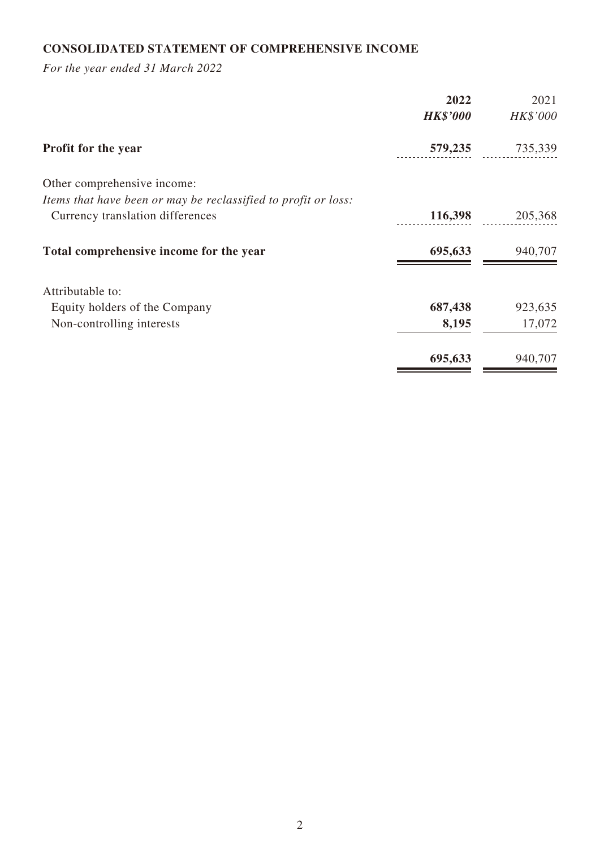# **CONSOLIDATED STATEMENT OF COMPREHENSIVE INCOME**

*For the year ended 31 March 2022*

| 2022                                                           | 2021   |
|----------------------------------------------------------------|--------|
| <b>HK\$'000</b><br>HK\$'000                                    |        |
| 579,235<br>735,339<br><b>Profit for the year</b>               |        |
| Other comprehensive income:                                    |        |
| Items that have been or may be reclassified to profit or loss: |        |
| 116,398<br>205,368<br>Currency translation differences         |        |
| Total comprehensive income for the year<br>695,633<br>940,707  |        |
| Attributable to:                                               |        |
| 687,438<br>923,635<br>Equity holders of the Company            |        |
| 8,195<br>Non-controlling interests                             | 17,072 |
| 695,633<br>940,707                                             |        |
|                                                                |        |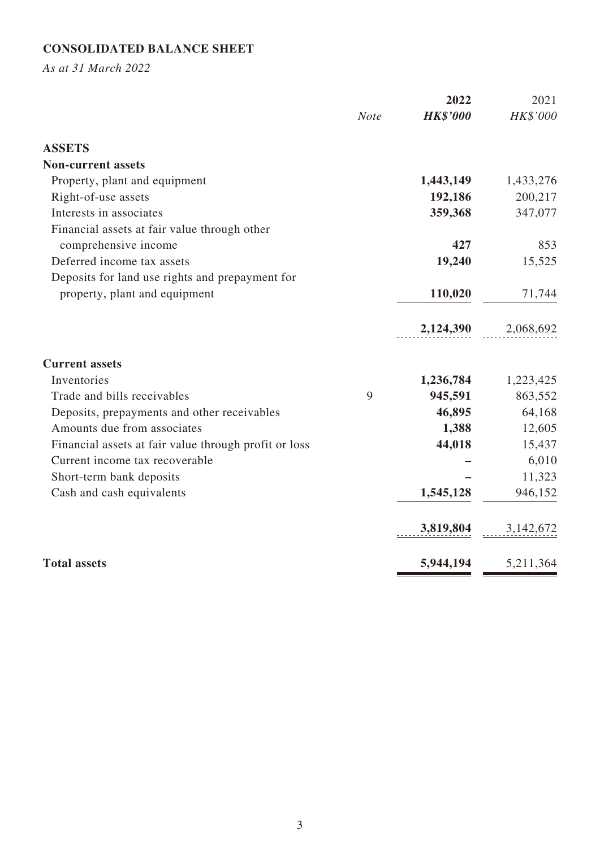# **CONSOLIDATED BALANCE SHEET**

*As at 31 March 2022*

|                                                       |             | 2022            | 2021      |
|-------------------------------------------------------|-------------|-----------------|-----------|
|                                                       | <b>Note</b> | <b>HK\$'000</b> | HK\$'000  |
| <b>ASSETS</b>                                         |             |                 |           |
| <b>Non-current assets</b>                             |             |                 |           |
| Property, plant and equipment                         |             | 1,443,149       | 1,433,276 |
| Right-of-use assets                                   |             | 192,186         | 200,217   |
| Interests in associates                               |             | 359,368         | 347,077   |
| Financial assets at fair value through other          |             |                 |           |
| comprehensive income                                  |             | 427             | 853       |
| Deferred income tax assets                            |             | 19,240          | 15,525    |
| Deposits for land use rights and prepayment for       |             |                 |           |
| property, plant and equipment                         |             | 110,020         | 71,744    |
|                                                       |             | 2,124,390       | 2,068,692 |
| <b>Current assets</b>                                 |             |                 |           |
| Inventories                                           |             | 1,236,784       | 1,223,425 |
| Trade and bills receivables                           | 9           | 945,591         | 863,552   |
| Deposits, prepayments and other receivables           |             | 46,895          | 64,168    |
| Amounts due from associates                           |             | 1,388           | 12,605    |
| Financial assets at fair value through profit or loss |             | 44,018          | 15,437    |
| Current income tax recoverable                        |             |                 | 6,010     |
| Short-term bank deposits                              |             |                 | 11,323    |
| Cash and cash equivalents                             |             | 1,545,128       | 946,152   |
|                                                       |             | 3,819,804       | 3,142,672 |
| <b>Total assets</b>                                   |             | 5,944,194       | 5,211,364 |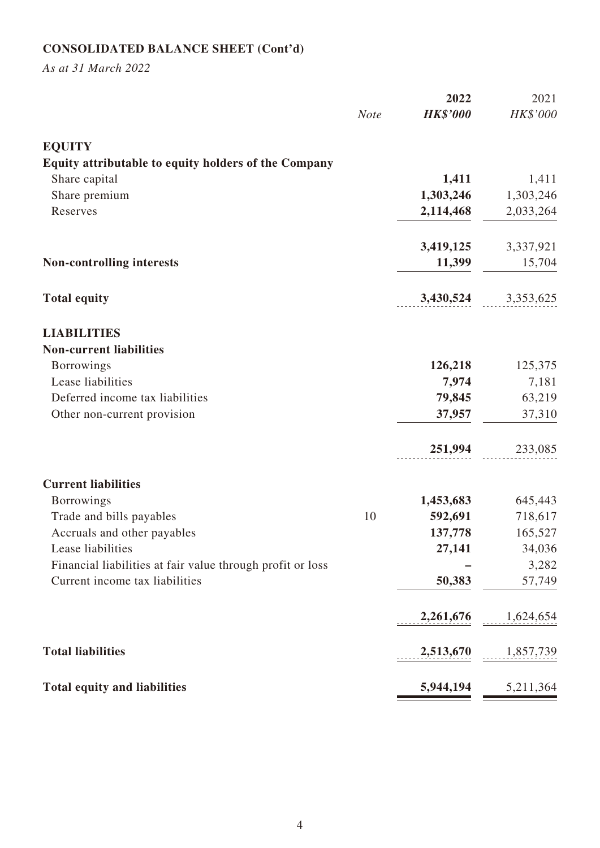# **CONSOLIDATED BALANCE SHEET (Cont'd)**

*As at 31 March 2022*

|                                                            |             | 2022            | 2021      |
|------------------------------------------------------------|-------------|-----------------|-----------|
|                                                            | <b>Note</b> | <b>HK\$'000</b> | HK\$'000  |
| <b>EQUITY</b>                                              |             |                 |           |
| Equity attributable to equity holders of the Company       |             |                 |           |
| Share capital                                              |             | 1,411           | 1,411     |
| Share premium                                              |             | 1,303,246       | 1,303,246 |
| Reserves                                                   |             | 2,114,468       | 2,033,264 |
|                                                            |             | 3,419,125       | 3,337,921 |
| <b>Non-controlling interests</b>                           |             | 11,399          | 15,704    |
| <b>Total equity</b>                                        |             | 3,430,524       | 3,353,625 |
| <b>LIABILITIES</b>                                         |             |                 |           |
| <b>Non-current liabilities</b>                             |             |                 |           |
| <b>Borrowings</b>                                          |             | 126,218         | 125,375   |
| Lease liabilities                                          |             | 7,974           | 7,181     |
| Deferred income tax liabilities                            |             | 79,845          | 63,219    |
| Other non-current provision                                |             | 37,957          | 37,310    |
|                                                            |             | 251,994         | 233,085   |
| <b>Current liabilities</b>                                 |             |                 |           |
| <b>Borrowings</b>                                          |             | 1,453,683       | 645,443   |
| Trade and bills payables                                   | 10          | 592,691         | 718,617   |
| Accruals and other payables                                |             | 137,778         | 165,527   |
| Lease liabilities                                          |             | 27,141          | 34,036    |
| Financial liabilities at fair value through profit or loss |             |                 | 3,282     |
| Current income tax liabilities                             |             | 50,383          | 57,749    |
|                                                            |             | 2,261,676       | 1,624,654 |
| <b>Total liabilities</b>                                   |             | 2,513,670       | 1,857,739 |
| <b>Total equity and liabilities</b>                        |             | 5,944,194       | 5,211,364 |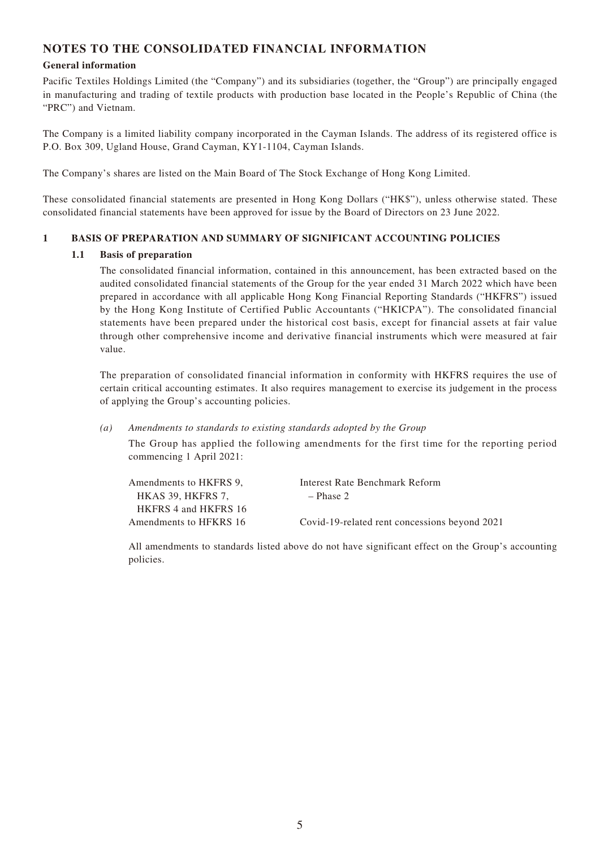### **NOTES TO THE CONSOLIDATED FINANCIAL INFORMATION**

#### **General information**

Pacific Textiles Holdings Limited (the "Company") and its subsidiaries (together, the "Group") are principally engaged in manufacturing and trading of textile products with production base located in the People's Republic of China (the "PRC") and Vietnam.

The Company is a limited liability company incorporated in the Cayman Islands. The address of its registered office is P.O. Box 309, Ugland House, Grand Cayman, KY1-1104, Cayman Islands.

The Company's shares are listed on the Main Board of The Stock Exchange of Hong Kong Limited.

These consolidated financial statements are presented in Hong Kong Dollars ("HK\$"), unless otherwise stated. These consolidated financial statements have been approved for issue by the Board of Directors on 23 June 2022.

#### **1 BASIS OF PREPARATION AND SUMMARY OF SIGNIFICANT ACCOUNTING POLICIES**

#### **1.1 Basis of preparation**

The consolidated financial information, contained in this announcement, has been extracted based on the audited consolidated financial statements of the Group for the year ended 31 March 2022 which have been prepared in accordance with all applicable Hong Kong Financial Reporting Standards ("HKFRS") issued by the Hong Kong Institute of Certified Public Accountants ("HKICPA"). The consolidated financial statements have been prepared under the historical cost basis, except for financial assets at fair value through other comprehensive income and derivative financial instruments which were measured at fair value.

The preparation of consolidated financial information in conformity with HKFRS requires the use of certain critical accounting estimates. It also requires management to exercise its judgement in the process of applying the Group's accounting policies.

*(a) Amendments to standards to existing standards adopted by the Group*

The Group has applied the following amendments for the first time for the reporting period commencing 1 April 2021:

| Amendments to HKFRS 9. | Interest Rate Benchmark Reform                |
|------------------------|-----------------------------------------------|
| HKAS 39. HKFRS 7.      | $-$ Phase 2                                   |
| HKFRS 4 and HKFRS 16   |                                               |
| Amendments to HFKRS 16 | Covid-19-related rent concessions beyond 2021 |

All amendments to standards listed above do not have significant effect on the Group's accounting policies.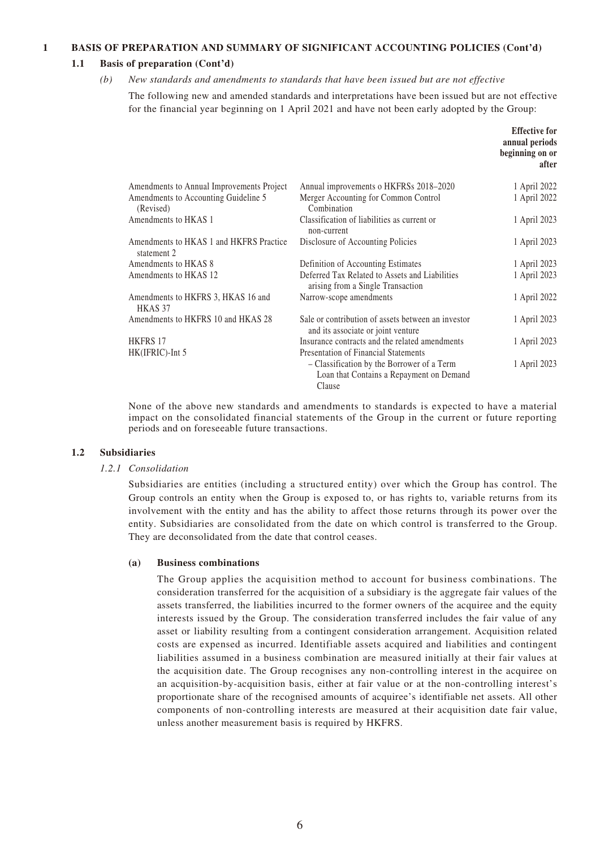#### **1 BASIS OF PREPARATION AND SUMMARY OF SIGNIFICANT ACCOUNTING POLICIES (Cont'd)**

#### **1.1 Basis of preparation (Cont'd)**

#### *(b) New standards and amendments to standards that have been issued but are not effective*

The following new and amended standards and interpretations have been issued but are not effective for the financial year beginning on 1 April 2021 and have not been early adopted by the Group:

|                                                        |                                                                                                  | <b>Effective for</b><br>annual periods<br>beginning on or<br>after |
|--------------------------------------------------------|--------------------------------------------------------------------------------------------------|--------------------------------------------------------------------|
| Amendments to Annual Improvements Project              | Annual improvements o HKFRSs 2018–2020                                                           | 1 April 2022                                                       |
| Amendments to Accounting Guideline 5<br>(Revised)      | Merger Accounting for Common Control<br>Combination                                              | 1 April 2022                                                       |
| Amendments to HKAS 1                                   | Classification of liabilities as current or<br>non-current                                       | 1 April 2023                                                       |
| Amendments to HKAS 1 and HKFRS Practice<br>statement 2 | Disclosure of Accounting Policies                                                                | 1 April 2023                                                       |
| Amendments to HKAS 8                                   | Definition of Accounting Estimates                                                               | 1 April 2023                                                       |
| Amendments to HKAS 12                                  | Deferred Tax Related to Assets and Liabilities<br>arising from a Single Transaction              | 1 April 2023                                                       |
| Amendments to HKFRS 3, HKAS 16 and<br>HKAS 37          | Narrow-scope amendments                                                                          | 1 April 2022                                                       |
| Amendments to HKFRS 10 and HKAS 28                     | Sale or contribution of assets between an investor<br>and its associate or joint venture         | 1 April 2023                                                       |
| <b>HKFRS 17</b>                                        | Insurance contracts and the related amendments                                                   | 1 April 2023                                                       |
| HK(IFRIC)-Int 5                                        | <b>Presentation of Financial Statements</b>                                                      |                                                                    |
|                                                        | – Classification by the Borrower of a Term<br>Loan that Contains a Repayment on Demand<br>Clause | 1 April 2023                                                       |

None of the above new standards and amendments to standards is expected to have a material impact on the consolidated financial statements of the Group in the current or future reporting periods and on foreseeable future transactions.

#### **1.2 Subsidiaries**

#### *1.2.1 Consolidation*

Subsidiaries are entities (including a structured entity) over which the Group has control. The Group controls an entity when the Group is exposed to, or has rights to, variable returns from its involvement with the entity and has the ability to affect those returns through its power over the entity. Subsidiaries are consolidated from the date on which control is transferred to the Group. They are deconsolidated from the date that control ceases.

#### **(a) Business combinations**

The Group applies the acquisition method to account for business combinations. The consideration transferred for the acquisition of a subsidiary is the aggregate fair values of the assets transferred, the liabilities incurred to the former owners of the acquiree and the equity interests issued by the Group. The consideration transferred includes the fair value of any asset or liability resulting from a contingent consideration arrangement. Acquisition related costs are expensed as incurred. Identifiable assets acquired and liabilities and contingent liabilities assumed in a business combination are measured initially at their fair values at the acquisition date. The Group recognises any non-controlling interest in the acquiree on an acquisition-by-acquisition basis, either at fair value or at the non-controlling interest's proportionate share of the recognised amounts of acquiree's identifiable net assets. All other components of non-controlling interests are measured at their acquisition date fair value, unless another measurement basis is required by HKFRS.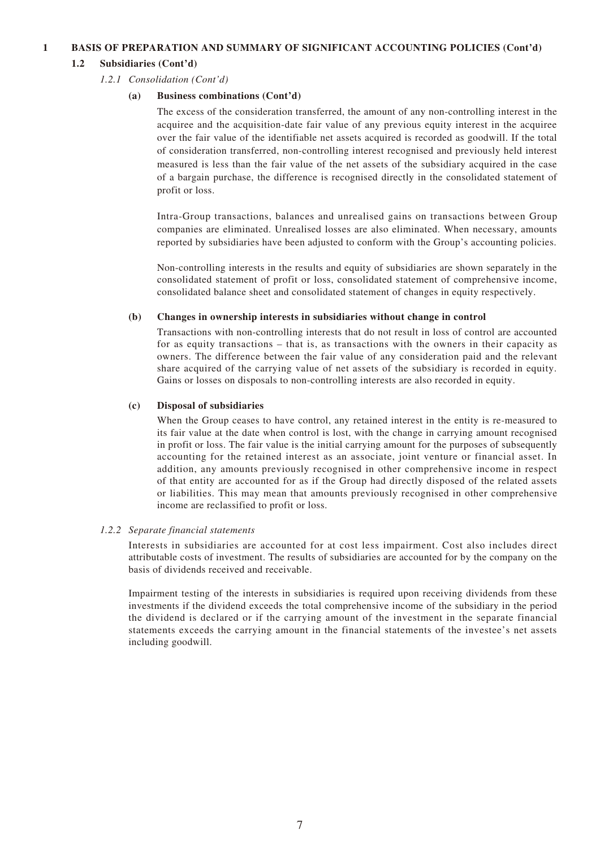#### **1 BASIS OF PREPARATION AND SUMMARY OF SIGNIFICANT ACCOUNTING POLICIES (Cont'd)**

#### **1.2 Subsidiaries (Cont'd)**

#### *1.2.1 Consolidation (Cont'd)*

#### **(a) Business combinations (Cont'd)**

The excess of the consideration transferred, the amount of any non-controlling interest in the acquiree and the acquisition-date fair value of any previous equity interest in the acquiree over the fair value of the identifiable net assets acquired is recorded as goodwill. If the total of consideration transferred, non-controlling interest recognised and previously held interest measured is less than the fair value of the net assets of the subsidiary acquired in the case of a bargain purchase, the difference is recognised directly in the consolidated statement of profit or loss.

Intra-Group transactions, balances and unrealised gains on transactions between Group companies are eliminated. Unrealised losses are also eliminated. When necessary, amounts reported by subsidiaries have been adjusted to conform with the Group's accounting policies.

Non-controlling interests in the results and equity of subsidiaries are shown separately in the consolidated statement of profit or loss, consolidated statement of comprehensive income, consolidated balance sheet and consolidated statement of changes in equity respectively.

#### **(b) Changes in ownership interests in subsidiaries without change in control**

Transactions with non-controlling interests that do not result in loss of control are accounted for as equity transactions – that is, as transactions with the owners in their capacity as owners. The difference between the fair value of any consideration paid and the relevant share acquired of the carrying value of net assets of the subsidiary is recorded in equity. Gains or losses on disposals to non-controlling interests are also recorded in equity.

#### **(c) Disposal of subsidiaries**

When the Group ceases to have control, any retained interest in the entity is re-measured to its fair value at the date when control is lost, with the change in carrying amount recognised in profit or loss. The fair value is the initial carrying amount for the purposes of subsequently accounting for the retained interest as an associate, joint venture or financial asset. In addition, any amounts previously recognised in other comprehensive income in respect of that entity are accounted for as if the Group had directly disposed of the related assets or liabilities. This may mean that amounts previously recognised in other comprehensive income are reclassified to profit or loss.

#### *1.2.2 Separate financial statements*

Interests in subsidiaries are accounted for at cost less impairment. Cost also includes direct attributable costs of investment. The results of subsidiaries are accounted for by the company on the basis of dividends received and receivable.

Impairment testing of the interests in subsidiaries is required upon receiving dividends from these investments if the dividend exceeds the total comprehensive income of the subsidiary in the period the dividend is declared or if the carrying amount of the investment in the separate financial statements exceeds the carrying amount in the financial statements of the investee's net assets including goodwill.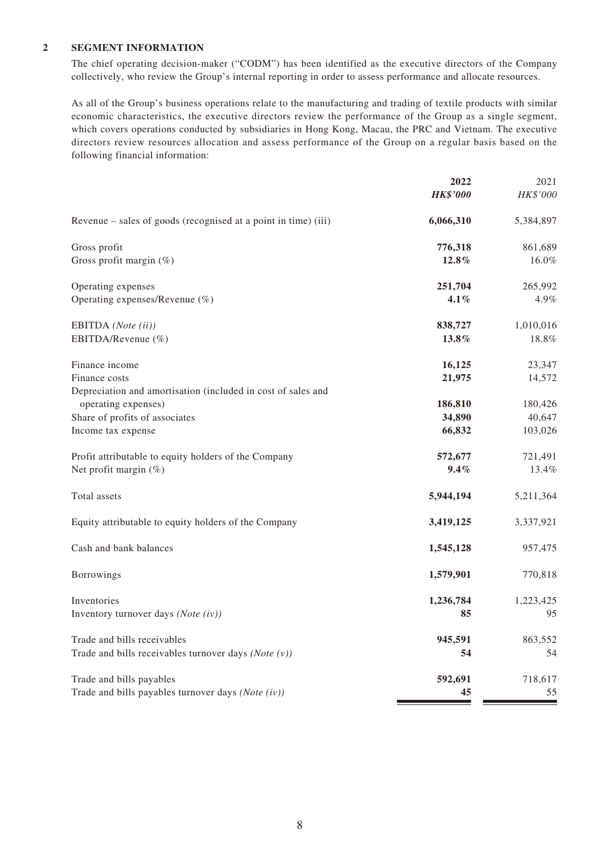#### **2 SEGMENT INFORMATION**

The chief operating decision-maker ("CODM") has been identified as the executive directors of the Company collectively, who review the Group's internal reporting in order to assess performance and allocate resources.

As all of the Group's business operations relate to the manufacturing and trading of textile products with similar economic characteristics, the executive directors review the performance of the Group as a single segment, which covers operations conducted by subsidiaries in Hong Kong, Macau, the PRC and Vietnam. The executive directors review resources allocation and assess performance of the Group on a regular basis based on the following financial information:

|                                                                | 2022            | 2021      |
|----------------------------------------------------------------|-----------------|-----------|
|                                                                | <b>HK\$'000</b> | HK\$'000  |
| Revenue – sales of goods (recognised at a point in time) (iii) | 6,066,310       | 5,384,897 |
| Gross profit                                                   | 776,318         | 861,689   |
| Gross profit margin $(\%)$                                     | 12.8%           | 16.0%     |
| Operating expenses                                             | 251,704         | 265,992   |
| Operating expenses/Revenue (%)                                 | 4.1%            | 4.9%      |
| EBITDA (Note (ii))                                             | 838,727         | 1,010,016 |
| EBITDA/Revenue (%)                                             | 13.8%           | 18.8%     |
| Finance income                                                 | 16,125          | 23,347    |
| Finance costs                                                  | 21,975          | 14,572    |
| Depreciation and amortisation (included in cost of sales and   |                 |           |
| operating expenses)                                            | 186,810         | 180,426   |
| Share of profits of associates                                 | 34,890          | 40,647    |
| Income tax expense                                             | 66,832          | 103,026   |
| Profit attributable to equity holders of the Company           | 572,677         | 721,491   |
| Net profit margin $(\%)$                                       | 9.4%            | 13.4%     |
| Total assets                                                   | 5,944,194       | 5,211,364 |
| Equity attributable to equity holders of the Company           | 3,419,125       | 3,337,921 |
| Cash and bank balances                                         | 1,545,128       | 957,475   |
| Borrowings                                                     | 1,579,901       | 770,818   |
| Inventories                                                    | 1,236,784       | 1,223,425 |
| Inventory turnover days (Note (iv))                            | 85              | 95        |
| Trade and bills receivables                                    | 945,591         | 863,552   |
| Trade and bills receivables turnover days (Note $(v)$ )        | 54              | 54        |
| Trade and bills payables                                       | 592,691         | 718,617   |
| Trade and bills payables turnover days (Note (iv))             | 45              | 55        |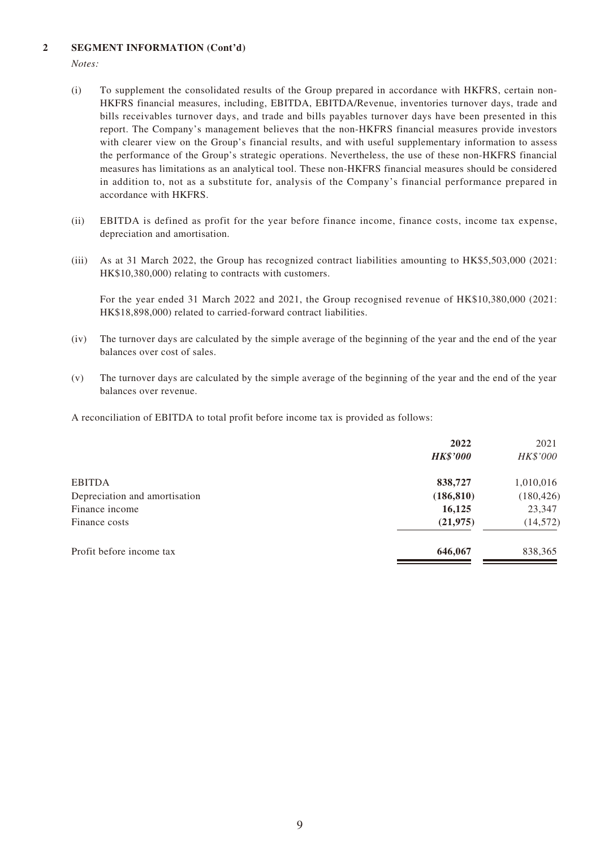#### **2 SEGMENT INFORMATION (Cont'd)**

*Notes:*

- (i) To supplement the consolidated results of the Group prepared in accordance with HKFRS, certain non-HKFRS financial measures, including, EBITDA, EBITDA/Revenue, inventories turnover days, trade and bills receivables turnover days, and trade and bills payables turnover days have been presented in this report. The Company's management believes that the non-HKFRS financial measures provide investors with clearer view on the Group's financial results, and with useful supplementary information to assess the performance of the Group's strategic operations. Nevertheless, the use of these non-HKFRS financial measures has limitations as an analytical tool. These non-HKFRS financial measures should be considered in addition to, not as a substitute for, analysis of the Company's financial performance prepared in accordance with HKFRS.
- (ii) EBITDA is defined as profit for the year before finance income, finance costs, income tax expense, depreciation and amortisation.
- (iii) As at 31 March 2022, the Group has recognized contract liabilities amounting to HK\$5,503,000 (2021: HK\$10,380,000) relating to contracts with customers.

For the year ended 31 March 2022 and 2021, the Group recognised revenue of HK\$10,380,000 (2021: HK\$18,898,000) related to carried-forward contract liabilities.

- (iv) The turnover days are calculated by the simple average of the beginning of the year and the end of the year balances over cost of sales.
- (v) The turnover days are calculated by the simple average of the beginning of the year and the end of the year balances over revenue.

A reconciliation of EBITDA to total profit before income tax is provided as follows:

|                               | 2022            | 2021       |
|-------------------------------|-----------------|------------|
|                               | <b>HK\$'000</b> | HK\$'000   |
| <b>EBITDA</b>                 | 838,727         | 1,010,016  |
| Depreciation and amortisation | (186, 810)      | (180, 426) |
| Finance income                | 16,125          | 23,347     |
| Finance costs                 | (21, 975)       | (14, 572)  |
| Profit before income tax      | 646,067         | 838,365    |
|                               |                 |            |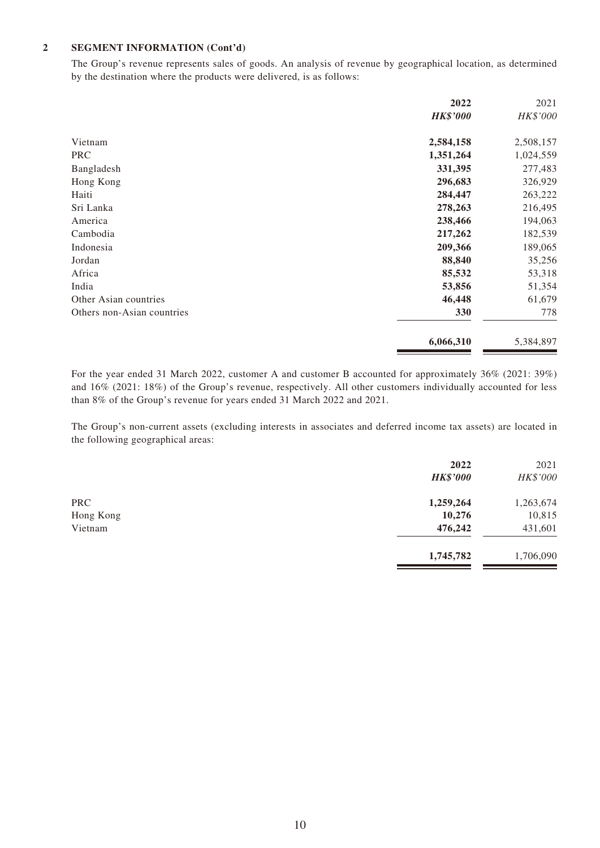#### **2 SEGMENT INFORMATION (Cont'd)**

The Group's revenue represents sales of goods. An analysis of revenue by geographical location, as determined by the destination where the products were delivered, is as follows:

|                            | 2022            | 2021      |
|----------------------------|-----------------|-----------|
|                            | <b>HK\$'000</b> | HK\$'000  |
| Vietnam                    | 2,584,158       | 2,508,157 |
| <b>PRC</b>                 | 1,351,264       | 1,024,559 |
| Bangladesh                 | 331,395         | 277,483   |
| Hong Kong                  | 296,683         | 326,929   |
| Haiti                      | 284,447         | 263,222   |
| Sri Lanka                  | 278,263         | 216,495   |
| America                    | 238,466         | 194,063   |
| Cambodia                   | 217,262         | 182,539   |
| Indonesia                  | 209,366         | 189,065   |
| Jordan                     | 88,840          | 35,256    |
| Africa                     | 85,532          | 53,318    |
| India                      | 53,856          | 51,354    |
| Other Asian countries      | 46,448          | 61,679    |
| Others non-Asian countries | 330             | 778       |
|                            | 6,066,310       | 5,384,897 |

For the year ended 31 March 2022, customer A and customer B accounted for approximately 36% (2021: 39%) and 16% (2021: 18%) of the Group's revenue, respectively. All other customers individually accounted for less than 8% of the Group's revenue for years ended 31 March 2022 and 2021.

The Group's non-current assets (excluding interests in associates and deferred income tax assets) are located in the following geographical areas:

|            | 2022<br><b>HK\$'000</b> | 2021<br>HK\$'000 |
|------------|-------------------------|------------------|
| <b>PRC</b> | 1,259,264               | 1,263,674        |
| Hong Kong  | 10,276                  | 10,815           |
| Vietnam    | 476,242                 | 431,601          |
|            | 1,745,782               | 1,706,090        |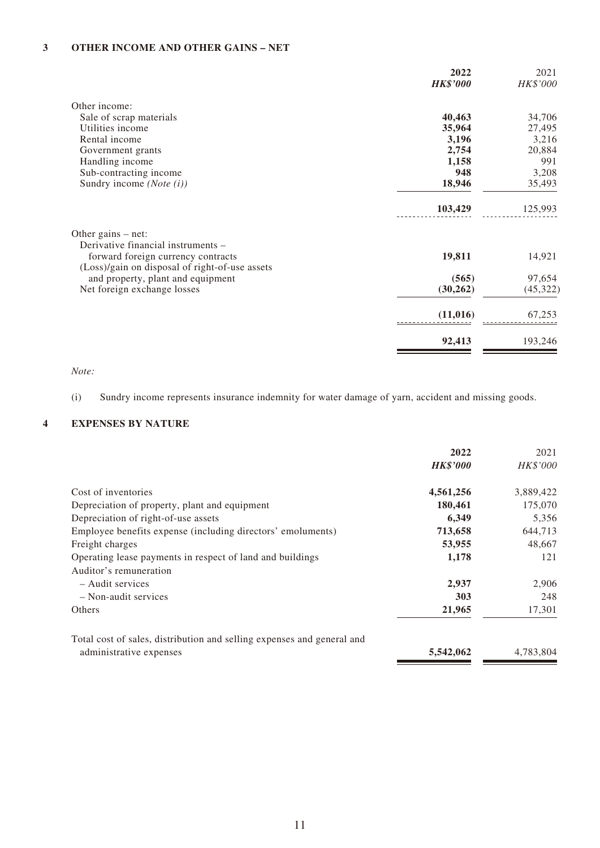#### **3 OTHER INCOME AND OTHER GAINS – NET**

|                                                                                                                            | 2022<br><b>HK\$'000</b> | 2021<br>HK\$'000 |
|----------------------------------------------------------------------------------------------------------------------------|-------------------------|------------------|
| Other income:                                                                                                              |                         |                  |
| Sale of scrap materials                                                                                                    | 40,463                  | 34,706           |
| Utilities income                                                                                                           | 35,964                  | 27,495           |
| Rental income                                                                                                              | 3,196                   | 3,216            |
| Government grants                                                                                                          | 2,754                   | 20,884           |
| Handling income                                                                                                            | 1,158                   | 991              |
| Sub-contracting income                                                                                                     | 948                     | 3,208            |
| Sundry income $(Note (i))$                                                                                                 | 18,946                  | 35,493           |
|                                                                                                                            | 103,429                 | 125,993          |
| Other gains $-$ net:                                                                                                       |                         |                  |
| Derivative financial instruments -<br>forward foreign currency contracts<br>(Loss)/gain on disposal of right-of-use assets | 19,811                  | 14,921           |
| and property, plant and equipment                                                                                          | (565)                   | 97,654           |
| Net foreign exchange losses                                                                                                | (30, 262)               | (45, 322)        |
|                                                                                                                            | (11, 016)               | 67,253           |
|                                                                                                                            | 92,413                  | 193,246          |

*Note:*

(i) Sundry income represents insurance indemnity for water damage of yarn, accident and missing goods.

#### **4 EXPENSES BY NATURE**

|                                                                        | 2022            | 2021      |
|------------------------------------------------------------------------|-----------------|-----------|
|                                                                        | <b>HK\$'000</b> | HK\$'000  |
| Cost of inventories                                                    | 4,561,256       | 3,889,422 |
| Depreciation of property, plant and equipment                          | 180,461         | 175,070   |
| Depreciation of right-of-use assets                                    | 6,349           | 5,356     |
| Employee benefits expense (including directors' emoluments)            | 713,658         | 644,713   |
| Freight charges                                                        | 53,955          | 48,667    |
| Operating lease payments in respect of land and buildings              | 1,178           | 121       |
| Auditor's remuneration                                                 |                 |           |
| $-$ Audit services                                                     | 2,937           | 2,906     |
| $-$ Non-audit services                                                 | 303             | 248       |
| Others                                                                 | 21,965          | 17,301    |
| Total cost of sales, distribution and selling expenses and general and |                 |           |
| administrative expenses                                                | 5,542,062       | 4,783,804 |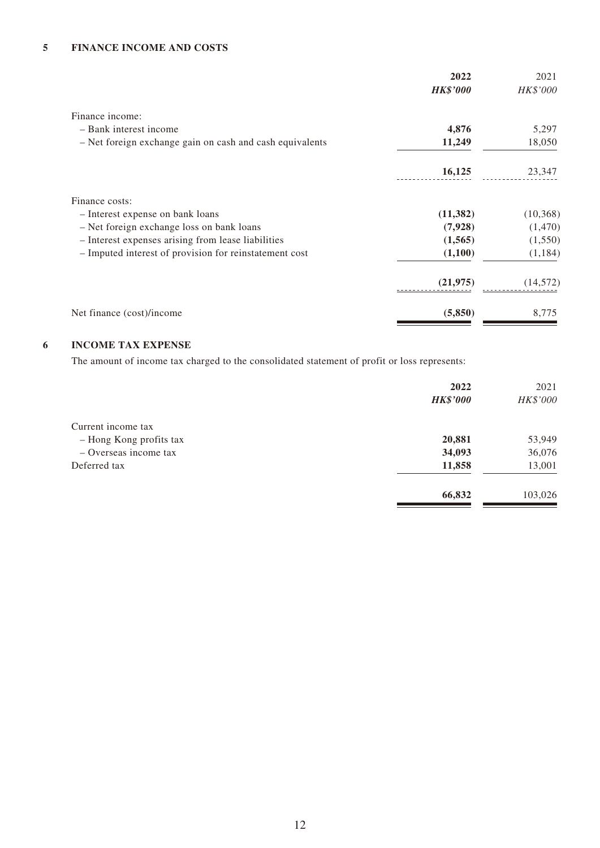|                                                          | 2022<br><b>HK\$'000</b> | 2021<br>HK\$'000 |
|----------------------------------------------------------|-------------------------|------------------|
| Finance income:                                          |                         |                  |
| - Bank interest income                                   | 4,876                   | 5,297            |
| - Net foreign exchange gain on cash and cash equivalents | 11,249                  | 18,050           |
|                                                          | 16,125                  | 23,347           |
| Finance costs:                                           |                         |                  |
| - Interest expense on bank loans                         | (11, 382)               | (10, 368)        |
| - Net foreign exchange loss on bank loans                | (7,928)                 | (1,470)          |
| - Interest expenses arising from lease liabilities       | (1,565)                 | (1,550)          |
| - Imputed interest of provision for reinstatement cost   | (1,100)                 | (1, 184)         |
|                                                          | (21, 975)               | (14, 572)        |
| Net finance (cost)/income                                | (5,850)                 | 8,775            |

#### **6 INCOME TAX EXPENSE**

The amount of income tax charged to the consolidated statement of profit or loss represents:

|                         | 2022<br><b>HK\$'000</b> | 2021<br>HK\$'000 |
|-------------------------|-------------------------|------------------|
| Current income tax      |                         |                  |
| - Hong Kong profits tax | 20,881                  | 53,949           |
| $-$ Overseas income tax | 34,093                  | 36,076           |
| Deferred tax            | 11,858                  | 13,001           |
|                         | 66,832                  | 103,026          |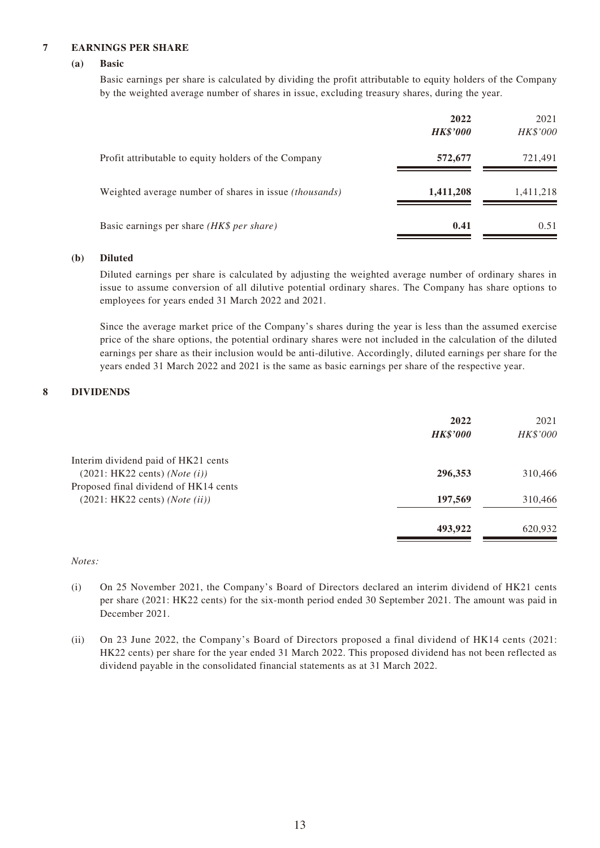#### **7 EARNINGS PER SHARE**

#### **(a) Basic**

Basic earnings per share is calculated by dividing the profit attributable to equity holders of the Company by the weighted average number of shares in issue, excluding treasury shares, during the year.

|                                                               | 2022<br><b>HK\$'000</b> | 2021<br>HK\$'000 |
|---------------------------------------------------------------|-------------------------|------------------|
| Profit attributable to equity holders of the Company          | 572,677                 | 721,491          |
| Weighted average number of shares in issue <i>(thousands)</i> | 1,411,208               | 1,411,218        |
| Basic earnings per share (HK\$ per share)                     | 0.41                    | 0.51             |

#### **(b) Diluted**

Diluted earnings per share is calculated by adjusting the weighted average number of ordinary shares in issue to assume conversion of all dilutive potential ordinary shares. The Company has share options to employees for years ended 31 March 2022 and 2021.

Since the average market price of the Company's shares during the year is less than the assumed exercise price of the share options, the potential ordinary shares were not included in the calculation of the diluted earnings per share as their inclusion would be anti-dilutive. Accordingly, diluted earnings per share for the years ended 31 March 2022 and 2021 is the same as basic earnings per share of the respective year.

#### **8 DIVIDENDS**

|                                         | 2022<br><b>HK\$'000</b> | 2021<br>HK\$'000 |
|-----------------------------------------|-------------------------|------------------|
| Interim dividend paid of HK21 cents     |                         |                  |
| (2021:HK22 cents) (Note (i))            | 296,353                 | 310,466          |
| Proposed final dividend of HK14 cents   |                         |                  |
| $(2021:HK22 cents)$ ( <i>Note</i> (ii)) | 197,569                 | 310,466          |
|                                         | 493,922                 | 620,932          |

#### *Notes:*

- (i) On 25 November 2021, the Company's Board of Directors declared an interim dividend of HK21 cents per share (2021: HK22 cents) for the six-month period ended 30 September 2021. The amount was paid in December 2021.
- (ii) On 23 June 2022, the Company's Board of Directors proposed a final dividend of HK14 cents (2021: HK22 cents) per share for the year ended 31 March 2022. This proposed dividend has not been reflected as dividend payable in the consolidated financial statements as at 31 March 2022.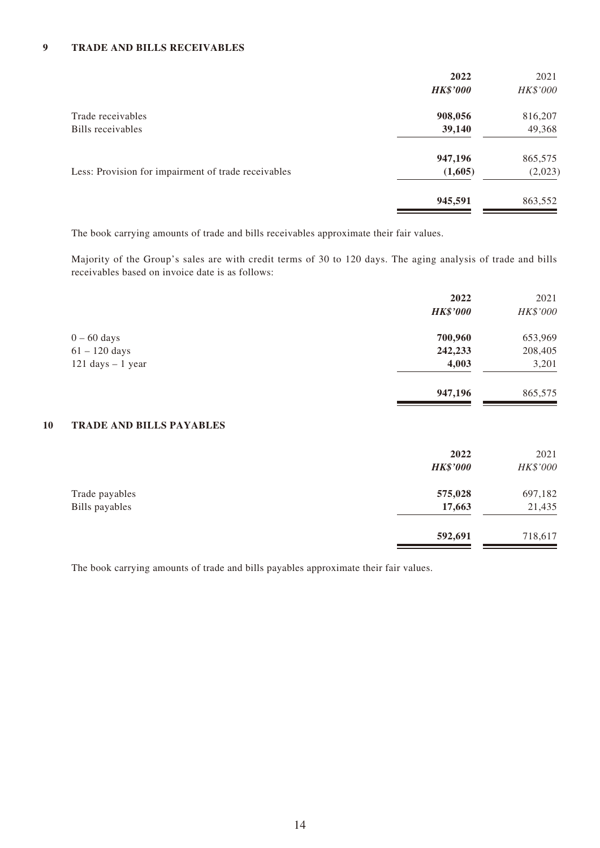#### **9 TRADE AND BILLS RECEIVABLES**

| 2022            | 2021     |
|-----------------|----------|
| <b>HK\$'000</b> | HK\$'000 |
| 908,056         | 816,207  |
| 39,140          | 49,368   |
| 947,196         | 865,575  |
| (1,605)         | (2,023)  |
| 945,591         | 863,552  |
|                 |          |

The book carrying amounts of trade and bills receivables approximate their fair values.

Majority of the Group's sales are with credit terms of 30 to 120 days. The aging analysis of trade and bills receivables based on invoice date is as follows:

|                                     | 2022<br><b>HK\$'000</b> | 2021<br>HK\$'000 |
|-------------------------------------|-------------------------|------------------|
| $0 - 60$ days                       | 700,960                 | 653,969          |
| $61 - 120$ days                     | 242,233                 | 208,405          |
| $121 \text{ days} - 1 \text{ year}$ | 4,003                   | 3,201            |
|                                     | 947,196                 | 865,575          |

#### **10 TRADE AND BILLS PAYABLES**

|                                  | 2022<br><b>HK\$'000</b> | 2021<br>HK\$'000  |
|----------------------------------|-------------------------|-------------------|
| Trade payables<br>Bills payables | 575,028<br>17,663       | 697,182<br>21,435 |
|                                  | 592,691                 | 718,617           |

The book carrying amounts of trade and bills payables approximate their fair values.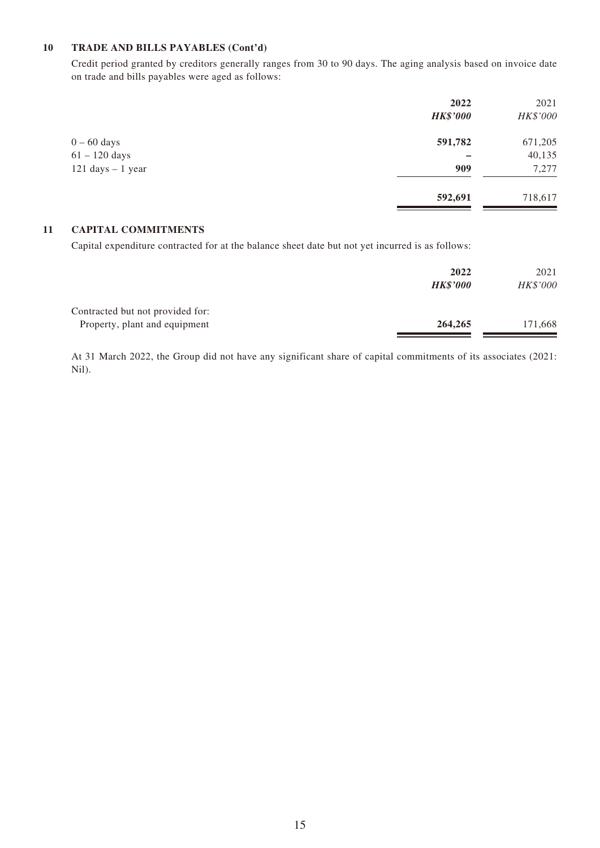#### **10 TRADE AND BILLS PAYABLES (Cont'd)**

Credit period granted by creditors generally ranges from 30 to 90 days. The aging analysis based on invoice date on trade and bills payables were aged as follows:

|                                     | 2022<br><b>HK\$'000</b> | 2021<br>HK\$'000 |
|-------------------------------------|-------------------------|------------------|
| $0 - 60$ days                       | 591,782                 | 671,205          |
| $61 - 120$ days                     |                         | 40,135           |
| $121 \text{ days} - 1 \text{ year}$ | 909                     | 7,277            |
|                                     | 592,691                 | 718,617          |

#### **11 CAPITAL COMMITMENTS**

Capital expenditure contracted for at the balance sheet date but not yet incurred is as follows:

|                                                                   | 2022<br><b>HK\$'000</b> | 2021<br>HK\$'000 |
|-------------------------------------------------------------------|-------------------------|------------------|
| Contracted but not provided for:<br>Property, plant and equipment | 264,265                 | 171,668          |

At 31 March 2022, the Group did not have any significant share of capital commitments of its associates (2021: Nil).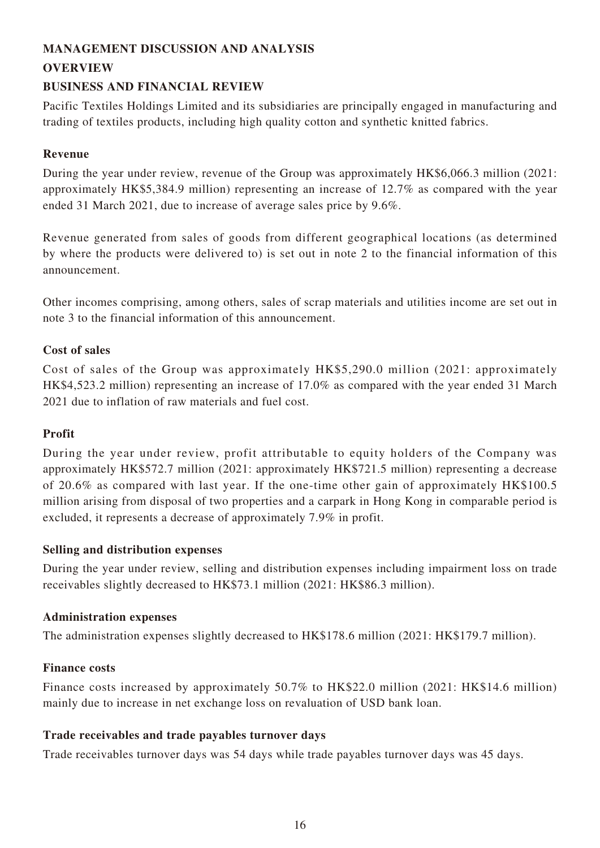# **MANAGEMENT DISCUSSION AND ANALYSIS**

### **OVERVIEW**

## **BUSINESS AND FINANCIAL REVIEW**

Pacific Textiles Holdings Limited and its subsidiaries are principally engaged in manufacturing and trading of textiles products, including high quality cotton and synthetic knitted fabrics.

### **Revenue**

During the year under review, revenue of the Group was approximately HK\$6,066.3 million (2021: approximately HK\$5,384.9 million) representing an increase of 12.7% as compared with the year ended 31 March 2021, due to increase of average sales price by 9.6%.

Revenue generated from sales of goods from different geographical locations (as determined by where the products were delivered to) is set out in note 2 to the financial information of this announcement.

Other incomes comprising, among others, sales of scrap materials and utilities income are set out in note 3 to the financial information of this announcement.

### **Cost of sales**

Cost of sales of the Group was approximately HK\$5,290.0 million (2021: approximately HK\$4,523.2 million) representing an increase of 17.0% as compared with the year ended 31 March 2021 due to inflation of raw materials and fuel cost.

### **Profit**

During the year under review, profit attributable to equity holders of the Company was approximately HK\$572.7 million (2021: approximately HK\$721.5 million) representing a decrease of 20.6% as compared with last year. If the one-time other gain of approximately HK\$100.5 million arising from disposal of two properties and a carpark in Hong Kong in comparable period is excluded, it represents a decrease of approximately 7.9% in profit.

### **Selling and distribution expenses**

During the year under review, selling and distribution expenses including impairment loss on trade receivables slightly decreased to HK\$73.1 million (2021: HK\$86.3 million).

### **Administration expenses**

The administration expenses slightly decreased to HK\$178.6 million (2021: HK\$179.7 million).

### **Finance costs**

Finance costs increased by approximately 50.7% to HK\$22.0 million (2021: HK\$14.6 million) mainly due to increase in net exchange loss on revaluation of USD bank loan.

### **Trade receivables and trade payables turnover days**

Trade receivables turnover days was 54 days while trade payables turnover days was 45 days.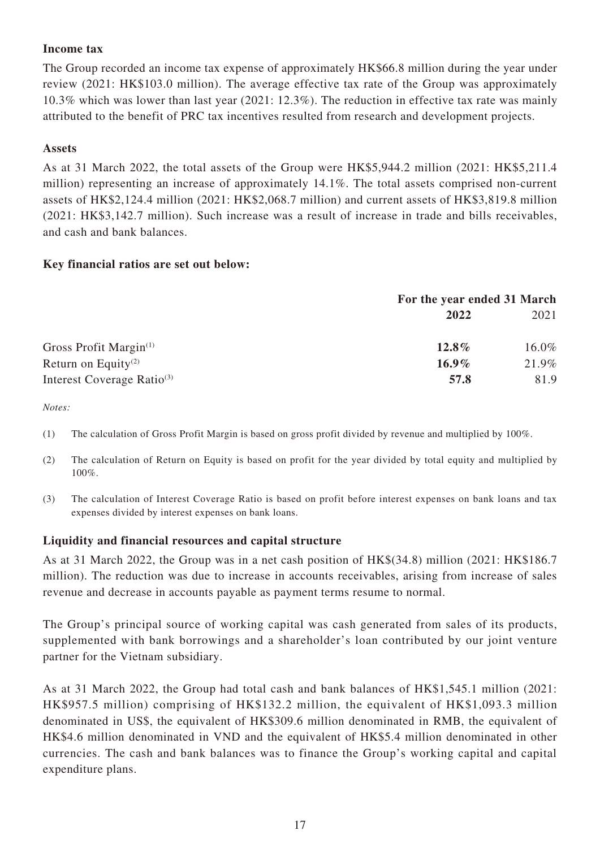### **Income tax**

The Group recorded an income tax expense of approximately HK\$66.8 million during the year under review (2021: HK\$103.0 million). The average effective tax rate of the Group was approximately 10.3% which was lower than last year (2021: 12.3%). The reduction in effective tax rate was mainly attributed to the benefit of PRC tax incentives resulted from research and development projects.

### **Assets**

As at 31 March 2022, the total assets of the Group were HK\$5,944.2 million (2021: HK\$5,211.4 million) representing an increase of approximately 14.1%. The total assets comprised non-current assets of HK\$2,124.4 million (2021: HK\$2,068.7 million) and current assets of HK\$3,819.8 million (2021: HK\$3,142.7 million). Such increase was a result of increase in trade and bills receivables, and cash and bank balances.

### **Key financial ratios are set out below:**

|                                        | For the year ended 31 March |       |
|----------------------------------------|-----------------------------|-------|
|                                        | 2022                        | 2021  |
| Gross Profit Margin $(1)$              | $12.8\%$                    | 16.0% |
| Return on Equity <sup>(2)</sup>        | $16.9\%$                    | 21.9% |
| Interest Coverage Ratio <sup>(3)</sup> | 57.8                        | 81.9  |

*Notes:*

- (1) The calculation of Gross Profit Margin is based on gross profit divided by revenue and multiplied by 100%.
- (2) The calculation of Return on Equity is based on profit for the year divided by total equity and multiplied by 100%.
- (3) The calculation of Interest Coverage Ratio is based on profit before interest expenses on bank loans and tax expenses divided by interest expenses on bank loans.

### **Liquidity and financial resources and capital structure**

As at 31 March 2022, the Group was in a net cash position of HK\$(34.8) million (2021: HK\$186.7 million). The reduction was due to increase in accounts receivables, arising from increase of sales revenue and decrease in accounts payable as payment terms resume to normal.

The Group's principal source of working capital was cash generated from sales of its products, supplemented with bank borrowings and a shareholder's loan contributed by our joint venture partner for the Vietnam subsidiary.

As at 31 March 2022, the Group had total cash and bank balances of HK\$1,545.1 million (2021: HK\$957.5 million) comprising of HK\$132.2 million, the equivalent of HK\$1,093.3 million denominated in US\$, the equivalent of HK\$309.6 million denominated in RMB, the equivalent of HK\$4.6 million denominated in VND and the equivalent of HK\$5.4 million denominated in other currencies. The cash and bank balances was to finance the Group's working capital and capital expenditure plans.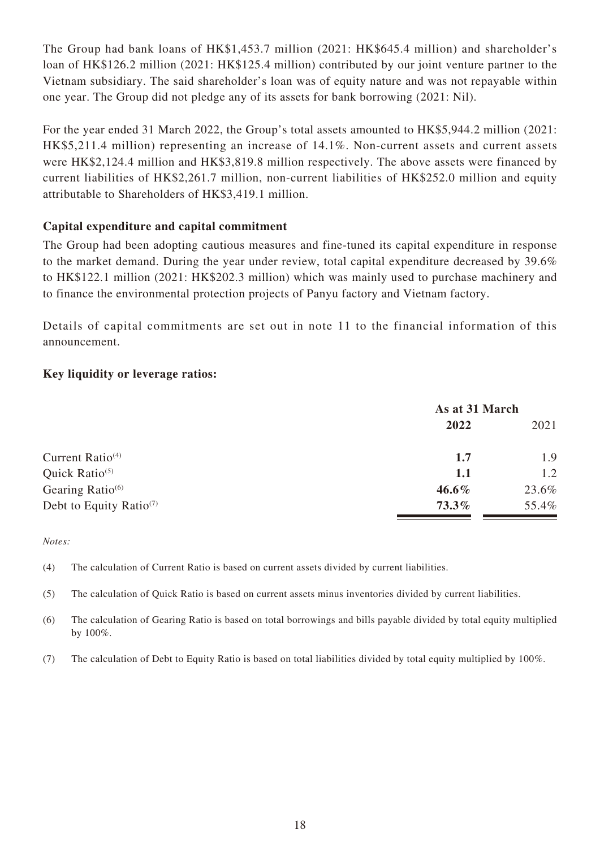The Group had bank loans of HK\$1,453.7 million (2021: HK\$645.4 million) and shareholder's loan of HK\$126.2 million (2021: HK\$125.4 million) contributed by our joint venture partner to the Vietnam subsidiary. The said shareholder's loan was of equity nature and was not repayable within one year. The Group did not pledge any of its assets for bank borrowing (2021: Nil).

For the year ended 31 March 2022, the Group's total assets amounted to HK\$5,944.2 million (2021: HK\$5,211.4 million) representing an increase of 14.1%. Non-current assets and current assets were HK\$2,124.4 million and HK\$3,819.8 million respectively. The above assets were financed by current liabilities of HK\$2,261.7 million, non-current liabilities of HK\$252.0 million and equity attributable to Shareholders of HK\$3,419.1 million.

### **Capital expenditure and capital commitment**

The Group had been adopting cautious measures and fine-tuned its capital expenditure in response to the market demand. During the year under review, total capital expenditure decreased by 39.6% to HK\$122.1 million (2021: HK\$202.3 million) which was mainly used to purchase machinery and to finance the environmental protection projects of Panyu factory and Vietnam factory.

Details of capital commitments are set out in note 11 to the financial information of this announcement.

### **Key liquidity or leverage ratios:**

|                                     | As at 31 March |       |
|-------------------------------------|----------------|-------|
|                                     | 2022           | 2021  |
| Current Ratio $(4)$                 | 1.7            | 1.9   |
| Quick Ratio $(5)$                   | 1.1            | 1.2   |
| Gearing Ratio $(6)$                 | $46.6\%$       | 23.6% |
| Debt to Equity Ratio <sup>(7)</sup> | $73.3\%$       | 55.4% |

*Notes:*

(4) The calculation of Current Ratio is based on current assets divided by current liabilities.

(5) The calculation of Quick Ratio is based on current assets minus inventories divided by current liabilities.

(6) The calculation of Gearing Ratio is based on total borrowings and bills payable divided by total equity multiplied by 100%.

(7) The calculation of Debt to Equity Ratio is based on total liabilities divided by total equity multiplied by 100%.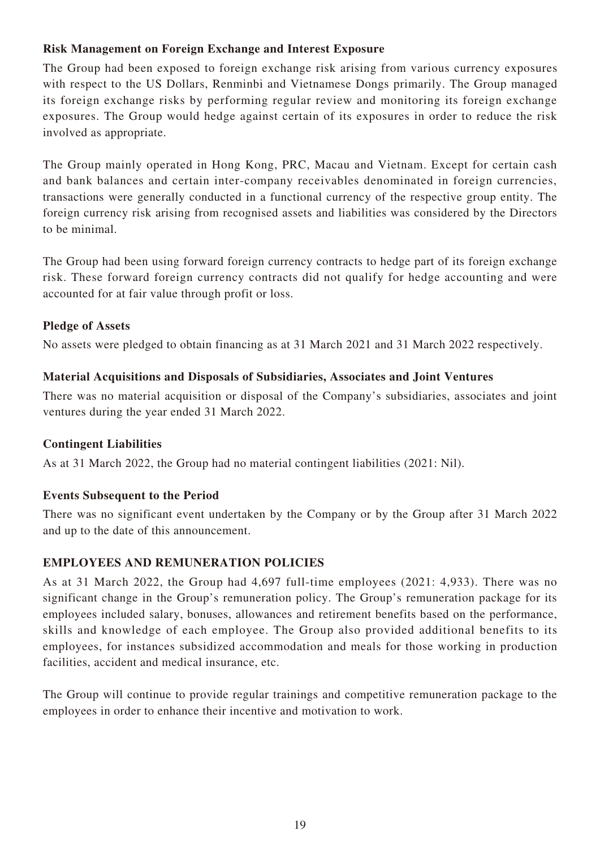### **Risk Management on Foreign Exchange and Interest Exposure**

The Group had been exposed to foreign exchange risk arising from various currency exposures with respect to the US Dollars, Renminbi and Vietnamese Dongs primarily. The Group managed its foreign exchange risks by performing regular review and monitoring its foreign exchange exposures. The Group would hedge against certain of its exposures in order to reduce the risk involved as appropriate.

The Group mainly operated in Hong Kong, PRC, Macau and Vietnam. Except for certain cash and bank balances and certain inter-company receivables denominated in foreign currencies, transactions were generally conducted in a functional currency of the respective group entity. The foreign currency risk arising from recognised assets and liabilities was considered by the Directors to be minimal.

The Group had been using forward foreign currency contracts to hedge part of its foreign exchange risk. These forward foreign currency contracts did not qualify for hedge accounting and were accounted for at fair value through profit or loss.

### **Pledge of Assets**

No assets were pledged to obtain financing as at 31 March 2021 and 31 March 2022 respectively.

### **Material Acquisitions and Disposals of Subsidiaries, Associates and Joint Ventures**

There was no material acquisition or disposal of the Company's subsidiaries, associates and joint ventures during the year ended 31 March 2022.

### **Contingent Liabilities**

As at 31 March 2022, the Group had no material contingent liabilities (2021: Nil).

### **Events Subsequent to the Period**

There was no significant event undertaken by the Company or by the Group after 31 March 2022 and up to the date of this announcement.

### **EMPLOYEES AND REMUNERATION POLICIES**

As at 31 March 2022, the Group had 4,697 full-time employees (2021: 4,933). There was no significant change in the Group's remuneration policy. The Group's remuneration package for its employees included salary, bonuses, allowances and retirement benefits based on the performance, skills and knowledge of each employee. The Group also provided additional benefits to its employees, for instances subsidized accommodation and meals for those working in production facilities, accident and medical insurance, etc.

The Group will continue to provide regular trainings and competitive remuneration package to the employees in order to enhance their incentive and motivation to work.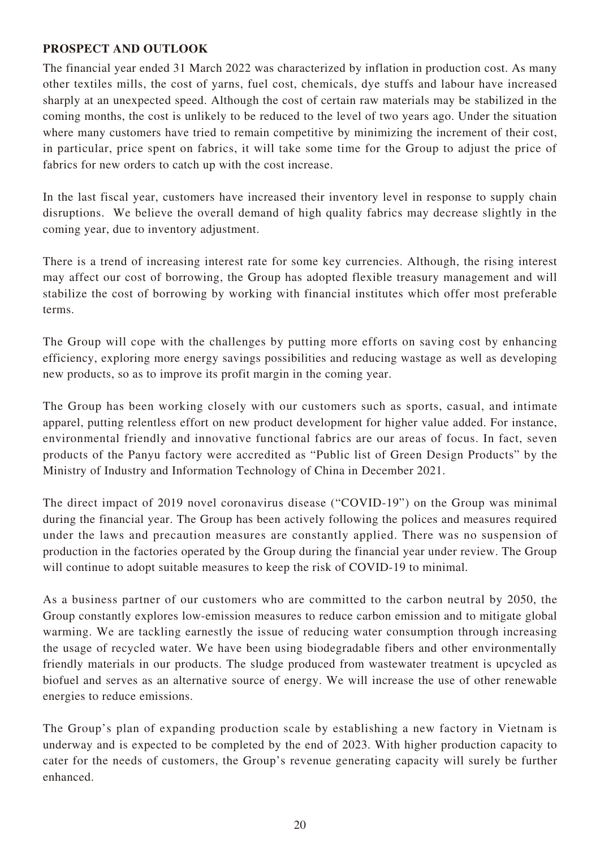### **PROSPECT AND OUTLOOK**

The financial year ended 31 March 2022 was characterized by inflation in production cost. As many other textiles mills, the cost of yarns, fuel cost, chemicals, dye stuffs and labour have increased sharply at an unexpected speed. Although the cost of certain raw materials may be stabilized in the coming months, the cost is unlikely to be reduced to the level of two years ago. Under the situation where many customers have tried to remain competitive by minimizing the increment of their cost, in particular, price spent on fabrics, it will take some time for the Group to adjust the price of fabrics for new orders to catch up with the cost increase.

In the last fiscal year, customers have increased their inventory level in response to supply chain disruptions. We believe the overall demand of high quality fabrics may decrease slightly in the coming year, due to inventory adjustment.

There is a trend of increasing interest rate for some key currencies. Although, the rising interest may affect our cost of borrowing, the Group has adopted flexible treasury management and will stabilize the cost of borrowing by working with financial institutes which offer most preferable terms.

The Group will cope with the challenges by putting more efforts on saving cost by enhancing efficiency, exploring more energy savings possibilities and reducing wastage as well as developing new products, so as to improve its profit margin in the coming year.

The Group has been working closely with our customers such as sports, casual, and intimate apparel, putting relentless effort on new product development for higher value added. For instance, environmental friendly and innovative functional fabrics are our areas of focus. In fact, seven products of the Panyu factory were accredited as "Public list of Green Design Products" by the Ministry of Industry and Information Technology of China in December 2021.

The direct impact of 2019 novel coronavirus disease ("COVID-19") on the Group was minimal during the financial year. The Group has been actively following the polices and measures required under the laws and precaution measures are constantly applied. There was no suspension of production in the factories operated by the Group during the financial year under review. The Group will continue to adopt suitable measures to keep the risk of COVID-19 to minimal.

As a business partner of our customers who are committed to the carbon neutral by 2050, the Group constantly explores low-emission measures to reduce carbon emission and to mitigate global warming. We are tackling earnestly the issue of reducing water consumption through increasing the usage of recycled water. We have been using biodegradable fibers and other environmentally friendly materials in our products. The sludge produced from wastewater treatment is upcycled as biofuel and serves as an alternative source of energy. We will increase the use of other renewable energies to reduce emissions.

The Group's plan of expanding production scale by establishing a new factory in Vietnam is underway and is expected to be completed by the end of 2023. With higher production capacity to cater for the needs of customers, the Group's revenue generating capacity will surely be further enhanced.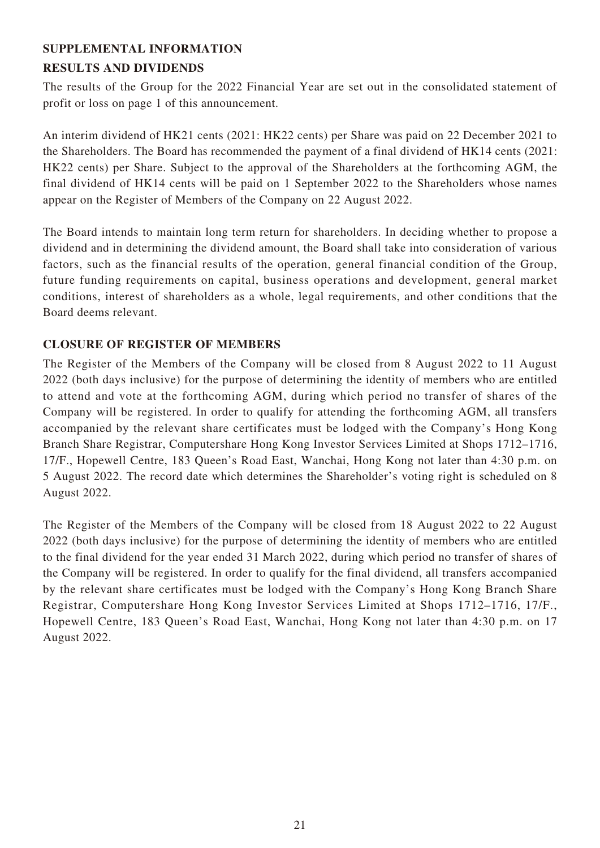# **SUPPLEMENTAL INFORMATION RESULTS AND DIVIDENDS**

The results of the Group for the 2022 Financial Year are set out in the consolidated statement of profit or loss on page 1 of this announcement.

An interim dividend of HK21 cents (2021: HK22 cents) per Share was paid on 22 December 2021 to the Shareholders. The Board has recommended the payment of a final dividend of HK14 cents (2021: HK22 cents) per Share. Subject to the approval of the Shareholders at the forthcoming AGM, the final dividend of HK14 cents will be paid on 1 September 2022 to the Shareholders whose names appear on the Register of Members of the Company on 22 August 2022.

The Board intends to maintain long term return for shareholders. In deciding whether to propose a dividend and in determining the dividend amount, the Board shall take into consideration of various factors, such as the financial results of the operation, general financial condition of the Group, future funding requirements on capital, business operations and development, general market conditions, interest of shareholders as a whole, legal requirements, and other conditions that the Board deems relevant.

### **CLOSURE OF REGISTER OF MEMBERS**

The Register of the Members of the Company will be closed from 8 August 2022 to 11 August 2022 (both days inclusive) for the purpose of determining the identity of members who are entitled to attend and vote at the forthcoming AGM, during which period no transfer of shares of the Company will be registered. In order to qualify for attending the forthcoming AGM, all transfers accompanied by the relevant share certificates must be lodged with the Company's Hong Kong Branch Share Registrar, Computershare Hong Kong Investor Services Limited at Shops 1712–1716, 17/F., Hopewell Centre, 183 Queen's Road East, Wanchai, Hong Kong not later than 4:30 p.m. on 5 August 2022. The record date which determines the Shareholder's voting right is scheduled on 8 August 2022.

The Register of the Members of the Company will be closed from 18 August 2022 to 22 August 2022 (both days inclusive) for the purpose of determining the identity of members who are entitled to the final dividend for the year ended 31 March 2022, during which period no transfer of shares of the Company will be registered. In order to qualify for the final dividend, all transfers accompanied by the relevant share certificates must be lodged with the Company's Hong Kong Branch Share Registrar, Computershare Hong Kong Investor Services Limited at Shops 1712–1716, 17/F., Hopewell Centre, 183 Queen's Road East, Wanchai, Hong Kong not later than 4:30 p.m. on 17 August 2022.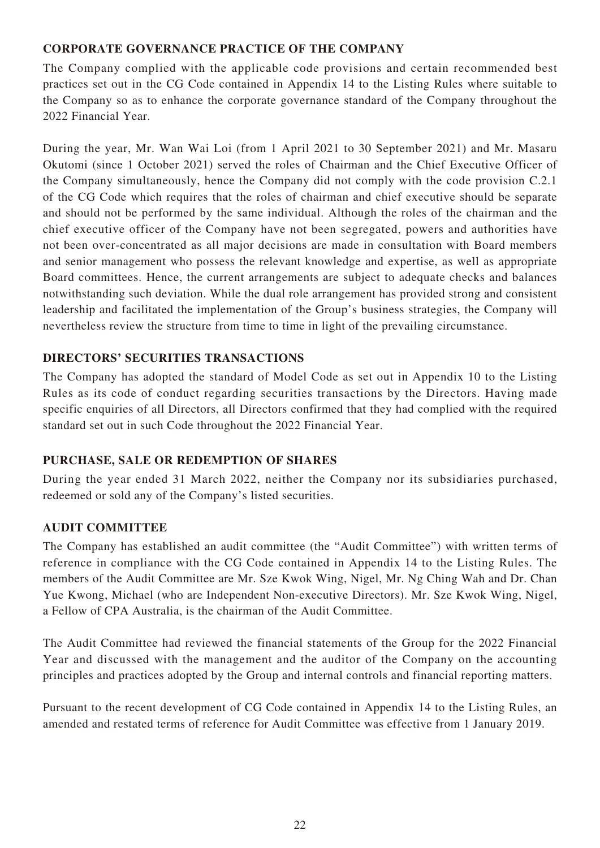### **CORPORATE GOVERNANCE PRACTICE OF THE COMPANY**

The Company complied with the applicable code provisions and certain recommended best practices set out in the CG Code contained in Appendix 14 to the Listing Rules where suitable to the Company so as to enhance the corporate governance standard of the Company throughout the 2022 Financial Year.

During the year, Mr. Wan Wai Loi (from 1 April 2021 to 30 September 2021) and Mr. Masaru Okutomi (since 1 October 2021) served the roles of Chairman and the Chief Executive Officer of the Company simultaneously, hence the Company did not comply with the code provision C.2.1 of the CG Code which requires that the roles of chairman and chief executive should be separate and should not be performed by the same individual. Although the roles of the chairman and the chief executive officer of the Company have not been segregated, powers and authorities have not been over-concentrated as all major decisions are made in consultation with Board members and senior management who possess the relevant knowledge and expertise, as well as appropriate Board committees. Hence, the current arrangements are subject to adequate checks and balances notwithstanding such deviation. While the dual role arrangement has provided strong and consistent leadership and facilitated the implementation of the Group's business strategies, the Company will nevertheless review the structure from time to time in light of the prevailing circumstance.

### **DIRECTORS' SECURITIES TRANSACTIONS**

The Company has adopted the standard of Model Code as set out in Appendix 10 to the Listing Rules as its code of conduct regarding securities transactions by the Directors. Having made specific enquiries of all Directors, all Directors confirmed that they had complied with the required standard set out in such Code throughout the 2022 Financial Year.

### **PURCHASE, SALE OR REDEMPTION OF SHARES**

During the year ended 31 March 2022, neither the Company nor its subsidiaries purchased, redeemed or sold any of the Company's listed securities.

### **AUDIT COMMITTEE**

The Company has established an audit committee (the "Audit Committee") with written terms of reference in compliance with the CG Code contained in Appendix 14 to the Listing Rules. The members of the Audit Committee are Mr. Sze Kwok Wing, Nigel, Mr. Ng Ching Wah and Dr. Chan Yue Kwong, Michael (who are Independent Non-executive Directors). Mr. Sze Kwok Wing, Nigel, a Fellow of CPA Australia, is the chairman of the Audit Committee.

The Audit Committee had reviewed the financial statements of the Group for the 2022 Financial Year and discussed with the management and the auditor of the Company on the accounting principles and practices adopted by the Group and internal controls and financial reporting matters.

Pursuant to the recent development of CG Code contained in Appendix 14 to the Listing Rules, an amended and restated terms of reference for Audit Committee was effective from 1 January 2019.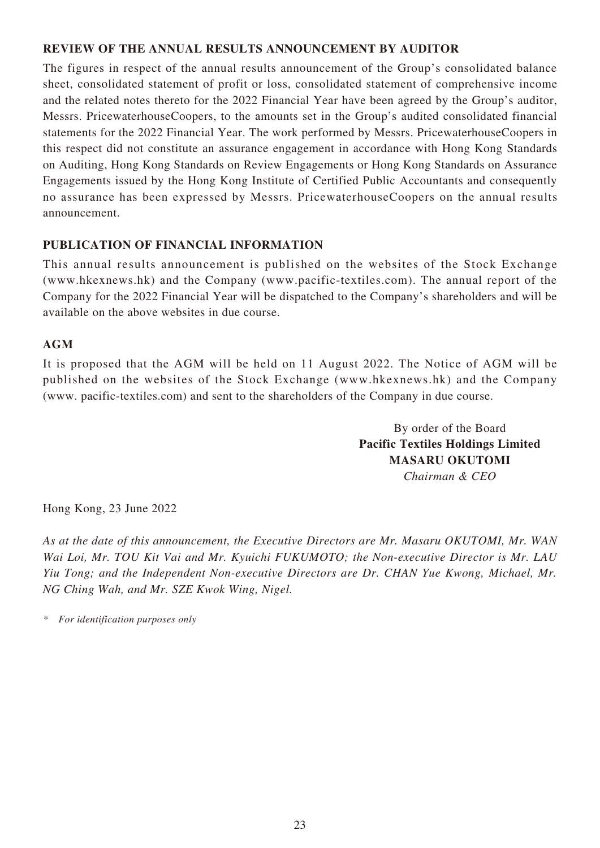### **REVIEW OF THE ANNUAL RESULTS ANNOUNCEMENT BY AUDITOR**

The figures in respect of the annual results announcement of the Group's consolidated balance sheet, consolidated statement of profit or loss, consolidated statement of comprehensive income and the related notes thereto for the 2022 Financial Year have been agreed by the Group's auditor, Messrs. PricewaterhouseCoopers, to the amounts set in the Group's audited consolidated financial statements for the 2022 Financial Year. The work performed by Messrs. PricewaterhouseCoopers in this respect did not constitute an assurance engagement in accordance with Hong Kong Standards on Auditing, Hong Kong Standards on Review Engagements or Hong Kong Standards on Assurance Engagements issued by the Hong Kong Institute of Certified Public Accountants and consequently no assurance has been expressed by Messrs. PricewaterhouseCoopers on the annual results announcement.

### **PUBLICATION OF FINANCIAL INFORMATION**

This annual results announcement is published on the websites of the Stock Exchange (www.hkexnews.hk) and the Company (www.pacific-textiles.com). The annual report of the Company for the 2022 Financial Year will be dispatched to the Company's shareholders and will be available on the above websites in due course.

### **AGM**

It is proposed that the AGM will be held on 11 August 2022. The Notice of AGM will be published on the websites of the Stock Exchange (www.hkexnews.hk) and the Company (www. pacific-textiles.com) and sent to the shareholders of the Company in due course.

> By order of the Board **Pacific Textiles Holdings Limited MASARU OKUTOMI** *Chairman & CEO*

Hong Kong, 23 June 2022

*As at the date of this announcement, the Executive Directors are Mr. Masaru OKUTOMI, Mr. WAN Wai Loi, Mr. TOU Kit Vai and Mr. Kyuichi FUKUMOTO; the Non-executive Director is Mr. LAU Yiu Tong; and the Independent Non-executive Directors are Dr. CHAN Yue Kwong, Michael, Mr. NG Ching Wah, and Mr. SZE Kwok Wing, Nigel.*

*\* For identification purposes only*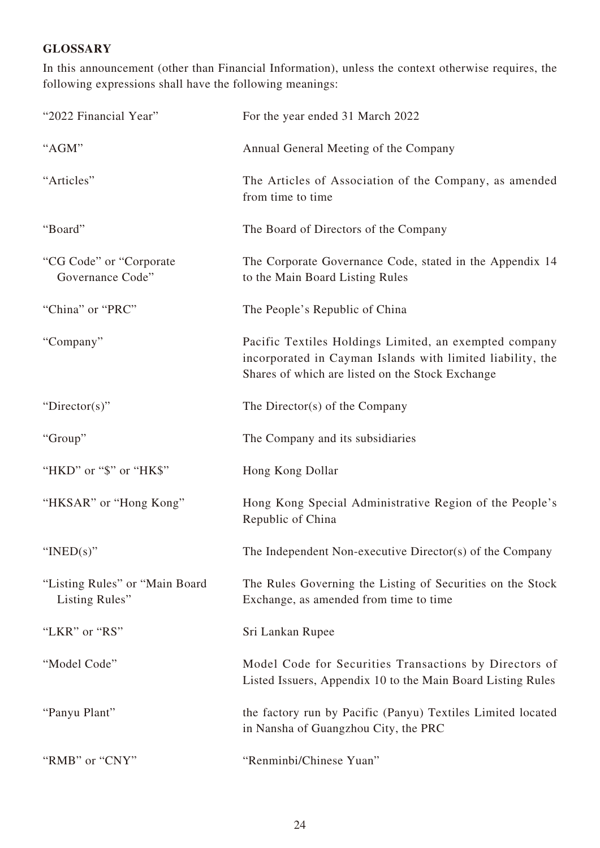# **GLOSSARY**

In this announcement (other than Financial Information), unless the context otherwise requires, the following expressions shall have the following meanings:

| "2022 Financial Year"                            | For the year ended 31 March 2022                                                                                                                                         |
|--------------------------------------------------|--------------------------------------------------------------------------------------------------------------------------------------------------------------------------|
| "AGM"                                            | Annual General Meeting of the Company                                                                                                                                    |
| "Articles"                                       | The Articles of Association of the Company, as amended<br>from time to time                                                                                              |
| "Board"                                          | The Board of Directors of the Company                                                                                                                                    |
| "CG Code" or "Corporate"<br>Governance Code"     | The Corporate Governance Code, stated in the Appendix 14<br>to the Main Board Listing Rules                                                                              |
| "China" or "PRC"                                 | The People's Republic of China                                                                                                                                           |
| "Company"                                        | Pacific Textiles Holdings Limited, an exempted company<br>incorporated in Cayman Islands with limited liability, the<br>Shares of which are listed on the Stock Exchange |
| "Director(s)"                                    | The Director(s) of the Company                                                                                                                                           |
| "Group"                                          | The Company and its subsidiaries                                                                                                                                         |
| "HKD" or "\$" or "HK\$"                          | Hong Kong Dollar                                                                                                                                                         |
| "HKSAR" or "Hong Kong"                           | Hong Kong Special Administrative Region of the People's<br>Republic of China                                                                                             |
| " $INED(s)$ "                                    | The Independent Non-executive Director(s) of the Company                                                                                                                 |
| "Listing Rules" or "Main Board<br>Listing Rules" | The Rules Governing the Listing of Securities on the Stock<br>Exchange, as amended from time to time                                                                     |
| "LKR" or "RS"                                    | Sri Lankan Rupee                                                                                                                                                         |
| "Model Code"                                     | Model Code for Securities Transactions by Directors of<br>Listed Issuers, Appendix 10 to the Main Board Listing Rules                                                    |
| "Panyu Plant"                                    | the factory run by Pacific (Panyu) Textiles Limited located<br>in Nansha of Guangzhou City, the PRC                                                                      |
| "RMB" or "CNY"                                   | "Renminbi/Chinese Yuan"                                                                                                                                                  |